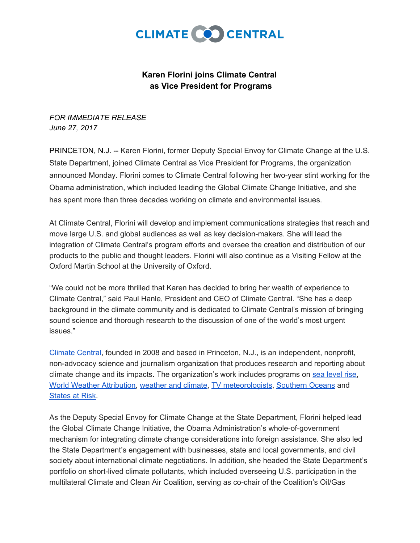

## **Karen Florini joins Climate Central as Vice President for Programs**

*FOR IMMEDIATE RELEASE June 27, 2017*

PRINCETON, N.J. -- Karen Florini, former Deputy Special Envoy for Climate Change at the U.S. State Department, joined Climate Central as Vice President for Programs, the organization announced Monday. Florini comes to Climate Central following her two-year stint working for the Obama administration, which included leading the Global Climate Change Initiative, and she has spent more than three decades working on climate and environmental issues.

At Climate Central, Florini will develop and implement communications strategies that reach and move large U.S. and global audiences as well as key decision-makers. She will lead the integration of Climate Central's program efforts and oversee the creation and distribution of our products to the public and thought leaders. Florini will also continue as a Visiting Fellow at the Oxford Martin School at the University of Oxford.

"We could not be more thrilled that Karen has decided to bring her wealth of experience to Climate Central," said Paul Hanle, President and CEO of Climate Central. "She has a deep background in the climate community and is dedicated to Climate Central's mission of bringing sound science and thorough research to the discussion of one of the world's most urgent issues."

[Climate](http://www.climatecentral.org/) Central, founded in 2008 and based in Princeton, N.J., is an independent, nonprofit, non-advocacy science and journalism organization that produces research and reporting about climate change and its impacts. The organization's work includes programs o[n](http://sealevel.climatecentral.org/) sea [level](http://sealevel.climatecentral.org/) rise, World Weather [Attribution](https://wwa.climatecentral.org/)[,](http://wxshift.com/) [weather](http://wxshift.com/) and climate, [T](http://www.climatecentral.org/what-we-do/our-programs/climatematters)V [meteorologists,](http://www.climatecentral.org/what-we-do/our-programs/climatematters) [Southern](http://www.climatecentral.org/what-we-do/our-programs/soccom) Oceans an[d](http://statesatrisk.org/) [States](http://statesatrisk.org/) at Risk.

As the Deputy Special Envoy for Climate Change at the State Department, Florini helped lead the Global Climate Change Initiative, the Obama Administration's whole-of-government mechanism for integrating climate change considerations into foreign assistance. She also led the State Department's engagement with businesses, state and local governments, and civil society about international climate negotiations. In addition, she headed the State Department's portfolio on short-lived climate pollutants, which included overseeing U.S. participation in the multilateral Climate and Clean Air Coalition, serving as co-chair of the Coalition's Oil/Gas